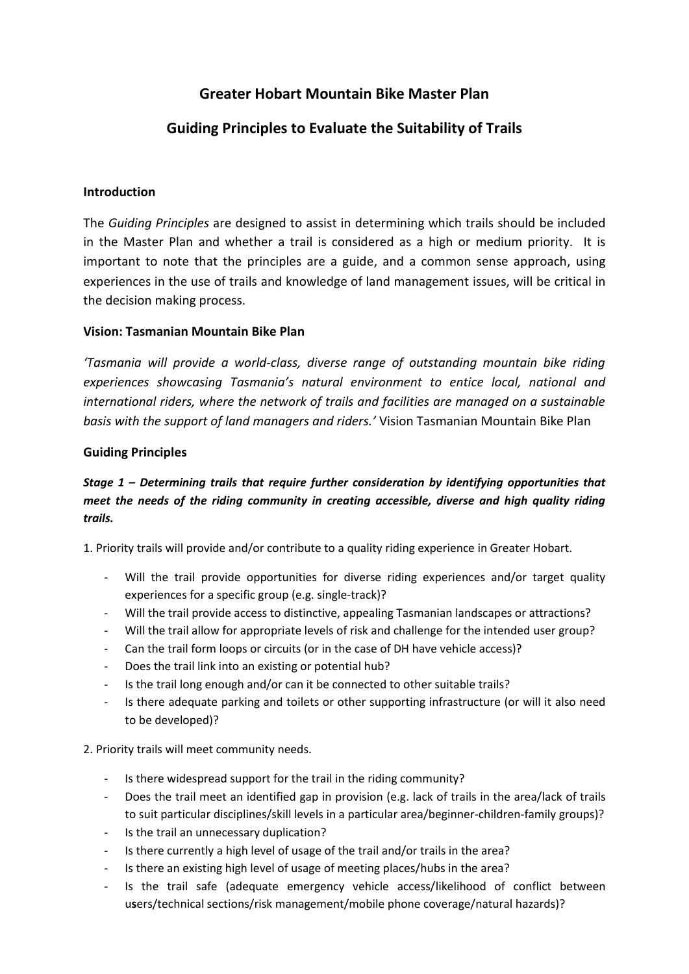# **Greater Hobart Mountain Bike Master Plan**

## **Guiding Principles to Evaluate the Suitability of Trails**

### **Introduction**

The *Guiding Principles* are designed to assist in determining which trails should be included in the Master Plan and whether a trail is considered as a high or medium priority. It is important to note that the principles are a guide, and a common sense approach, using experiences in the use of trails and knowledge of land management issues, will be critical in the decision making process.

### **Vision: Tasmanian Mountain Bike Plan**

*'Tasmania will provide a world-class, diverse range of outstanding mountain bike riding experiences showcasing Tasmania's natural environment to entice local, national and international riders, where the network of trails and facilities are managed on a sustainable basis with the support of land managers and riders.'* Vision Tasmanian Mountain Bike Plan

### **Guiding Principles**

## *Stage 1 – Determining trails that require further consideration by identifying opportunities that meet the needs of the riding community in creating accessible, diverse and high quality riding trails.*

1. Priority trails will provide and/or contribute to a quality riding experience in Greater Hobart.

- Will the trail provide opportunities for diverse riding experiences and/or target quality experiences for a specific group (e.g. single-track)?
- Will the trail provide access to distinctive, appealing Tasmanian landscapes or attractions?
- Will the trail allow for appropriate levels of risk and challenge for the intended user group?
- Can the trail form loops or circuits (or in the case of DH have vehicle access)?
- Does the trail link into an existing or potential hub?
- Is the trail long enough and/or can it be connected to other suitable trails?
- Is there adequate parking and toilets or other supporting infrastructure (or will it also need to be developed)?
- 2. Priority trails will meet community needs.
	- Is there widespread support for the trail in the riding community?
	- Does the trail meet an identified gap in provision (e.g. lack of trails in the area/lack of trails to suit particular disciplines/skill levels in a particular area/beginner-children-family groups)?
	- Is the trail an unnecessary duplication?
	- Is there currently a high level of usage of the trail and/or trails in the area?
	- Is there an existing high level of usage of meeting places/hubs in the area?
	- Is the trail safe (adequate emergency vehicle access/likelihood of conflict between u**s**ers/technical sections/risk management/mobile phone coverage/natural hazards)?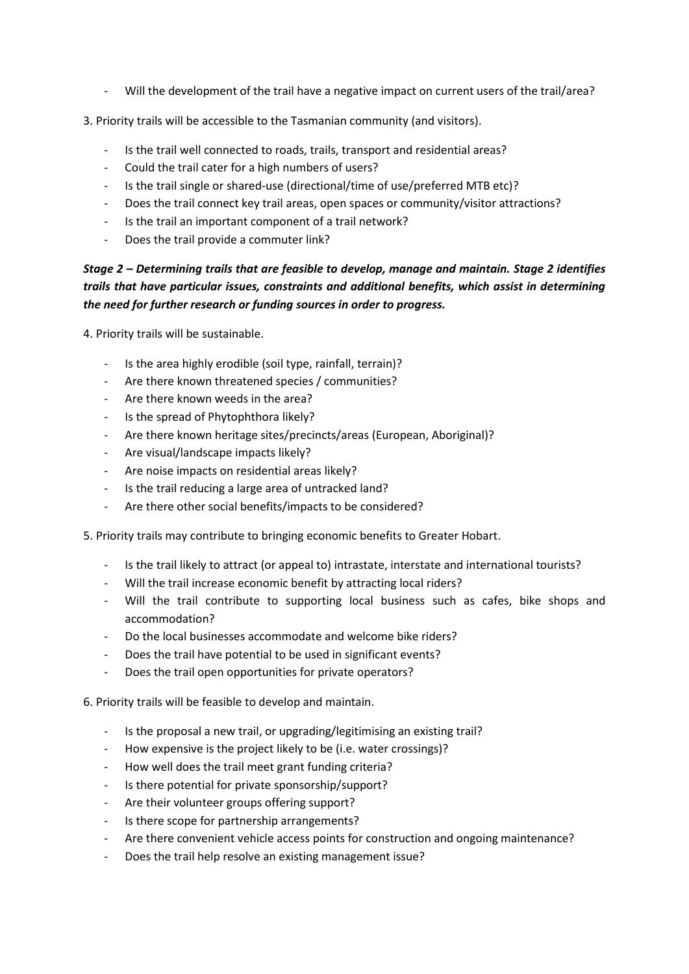- Will the development of the trail have a negative impact on current users of the trail/area?
- 3. Priority trails will be accessible to the Tasmanian community (and visitors).
	- Is the trail well connected to roads, trails, transport and residential areas?
	- Could the trail cater for a high numbers of users?
	- Is the trail single or shared-use (directional/time of use/preferred MTB etc)?
	- Does the trail connect key trail areas, open spaces or community/visitor attractions?
	- Is the trail an important component of a trail network?
	- Does the trail provide a commuter link?

### *Stage 2 – Determining trails that are feasible to develop, manage and maintain. Stage 2 identifies trails that have particular issues, constraints and additional benefits, which assist in determining the need for further research or funding sources in order to progress.*

4. Priority trails will be sustainable.

- Is the area highly erodible (soil type, rainfall, terrain)?
- Are there known threatened species / communities?
- Are there known weeds in the area?
- Is the spread of Phytophthora likely?
- Are there known heritage sites/precincts/areas (European, Aboriginal)?
- Are visual/landscape impacts likely?
- Are noise impacts on residential areas likely?
- Is the trail reducing a large area of untracked land?
- Are there other social benefits/impacts to be considered?
- 5. Priority trails may contribute to bringing economic benefits to Greater Hobart.
	- Is the trail likely to attract (or appeal to) intrastate, interstate and international tourists?
	- Will the trail increase economic benefit by attracting local riders?
	- Will the trail contribute to supporting local business such as cafes, bike shops and accommodation?
	- Do the local businesses accommodate and welcome bike riders?
	- Does the trail have potential to be used in significant events?
	- Does the trail open opportunities for private operators?

6. Priority trails will be feasible to develop and maintain.

- Is the proposal a new trail, or upgrading/legitimising an existing trail?
- How expensive is the project likely to be (i.e. water crossings)?
- How well does the trail meet grant funding criteria?
- Is there potential for private sponsorship/support?
- Are their volunteer groups offering support?
- Is there scope for partnership arrangements?
- Are there convenient vehicle access points for construction and ongoing maintenance?
- Does the trail help resolve an existing management issue?